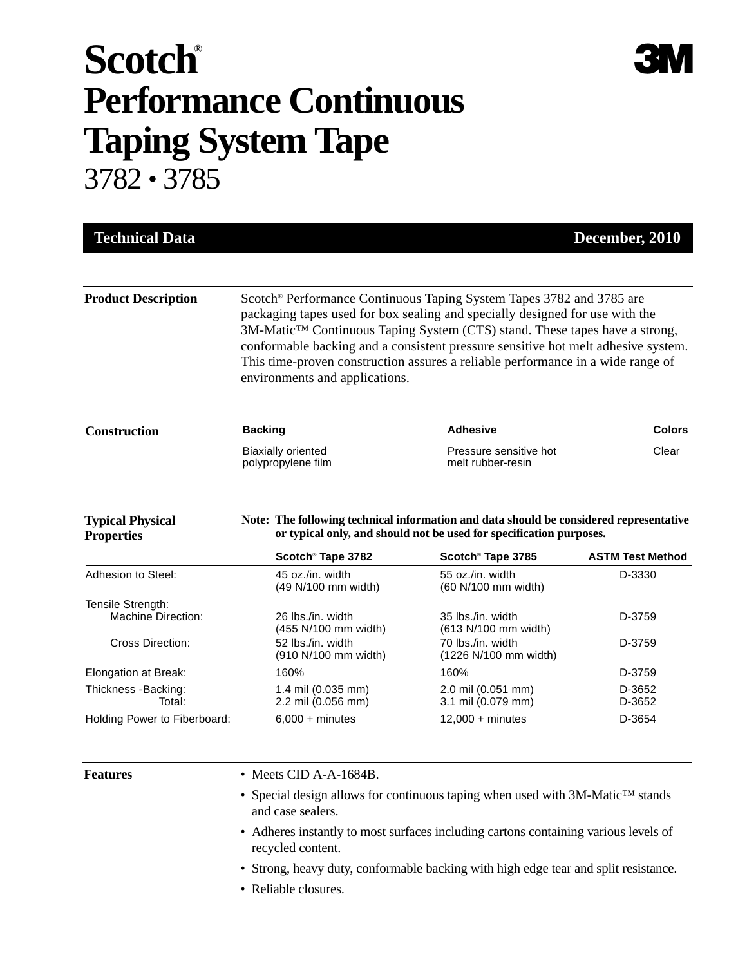## **Scotch**® **Performance Continuous Taping System Tape**

3782 • 3785

| <b>Technical Data</b>                        |                                                                                                                                                                                                                                                                                                                                                                                                                                                                      |                                                                     | December, 2010                    |  |  |
|----------------------------------------------|----------------------------------------------------------------------------------------------------------------------------------------------------------------------------------------------------------------------------------------------------------------------------------------------------------------------------------------------------------------------------------------------------------------------------------------------------------------------|---------------------------------------------------------------------|-----------------------------------|--|--|
| <b>Product Description</b>                   | Scotch <sup>®</sup> Performance Continuous Taping System Tapes 3782 and 3785 are<br>packaging tapes used for box sealing and specially designed for use with the<br>3M-Matic <sup>™</sup> Continuous Taping System (CTS) stand. These tapes have a strong,<br>conformable backing and a consistent pressure sensitive hot melt adhesive system.<br>This time-proven construction assures a reliable performance in a wide range of<br>environments and applications. |                                                                     |                                   |  |  |
| <b>Construction</b>                          | <b>Backing</b>                                                                                                                                                                                                                                                                                                                                                                                                                                                       | <b>Adhesive</b>                                                     | <b>Colors</b>                     |  |  |
|                                              | <b>Biaxially oriented</b>                                                                                                                                                                                                                                                                                                                                                                                                                                            | Pressure sensitive hot                                              | Clear                             |  |  |
|                                              | polypropylene film                                                                                                                                                                                                                                                                                                                                                                                                                                                   | melt rubber-resin                                                   |                                   |  |  |
| <b>Typical Physical</b><br><b>Properties</b> | Note: The following technical information and data should be considered representative                                                                                                                                                                                                                                                                                                                                                                               | or typical only, and should not be used for specification purposes. |                                   |  |  |
| Adhesion to Steel:                           | Scotch <sup>®</sup> Tape 3782<br>45 oz./in. width                                                                                                                                                                                                                                                                                                                                                                                                                    | Scotch <sup>®</sup> Tape 3785<br>55 oz./in. width                   | <b>ASTM Test Method</b><br>D-3330 |  |  |
| Tensile Strength:<br>Machine Direction:      | (49 N/100 mm width)<br>26 lbs./in. width                                                                                                                                                                                                                                                                                                                                                                                                                             | (60 N/100 mm width)<br>35 lbs./in. width                            | D-3759                            |  |  |
| Cross Direction:                             | (455 N/100 mm width)<br>52 lbs./in. width<br>(910 N/100 mm width)                                                                                                                                                                                                                                                                                                                                                                                                    | (613 N/100 mm width)<br>70 lbs./in. width<br>(1226 N/100 mm width)  | D-3759                            |  |  |
| Elongation at Break:                         | 160%                                                                                                                                                                                                                                                                                                                                                                                                                                                                 | 160%                                                                | D-3759                            |  |  |
| Thickness - Backing:<br>Total:               | 1.4 mil (0.035 mm)<br>2.2 mil (0.056 mm)                                                                                                                                                                                                                                                                                                                                                                                                                             | 2.0 mil (0.051 mm)<br>3.1 mil (0.079 mm)                            | D-3652<br>D-3652                  |  |  |

- **Features** Meets CID A-A-1684B.
	- Special design allows for continuous taping when used with 3M-Matic™ stands and case sealers.

**3M** 

- Adheres instantly to most surfaces including cartons containing various levels of recycled content.
- Strong, heavy duty, conformable backing with high edge tear and split resistance.
- Reliable closures.